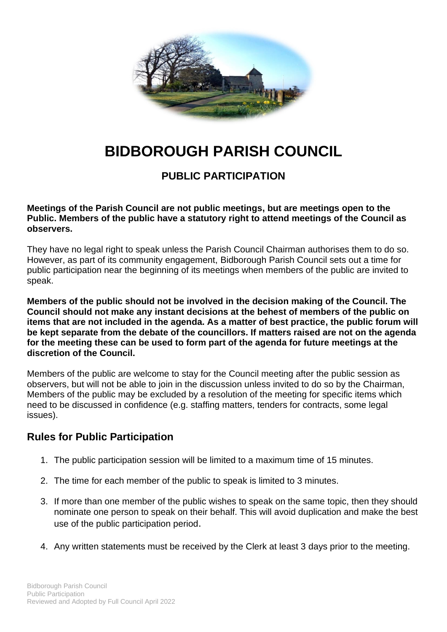

## **BIDBOROUGH PARISH COUNCIL**

## **PUBLIC PARTICIPATION**

**Meetings of the Parish Council are not public meetings, but are meetings open to the Public. Members of the public have a statutory right to attend meetings of the Council as observers.**

They have no legal right to speak unless the Parish Council Chairman authorises them to do so. However, as part of its community engagement, Bidborough Parish Council sets out a time for public participation near the beginning of its meetings when members of the public are invited to speak.

**Members of the public should not be involved in the decision making of the Council. The Council should not make any instant decisions at the behest of members of the public on items that are not included in the agenda. As a matter of best practice, the public forum will be kept separate from the debate of the councillors. If matters raised are not on the agenda for the meeting these can be used to form part of the agenda for future meetings at the discretion of the Council.**

Members of the public are welcome to stay for the Council meeting after the public session as observers, but will not be able to join in the discussion unless invited to do so by the Chairman, Members of the public may be excluded by a resolution of the meeting for specific items which need to be discussed in confidence (e.g. staffing matters, tenders for contracts, some legal issues).

## **Rules for Public Participation**

- 1. The public participation session will be limited to a maximum time of 15 minutes.
- 2. The time for each member of the public to speak is limited to 3 minutes.
- 3. If more than one member of the public wishes to speak on the same topic, then they should nominate one person to speak on their behalf. This will avoid duplication and make the best use of the public participation period.
- 4. Any written statements must be received by the Clerk at least 3 days prior to the meeting.